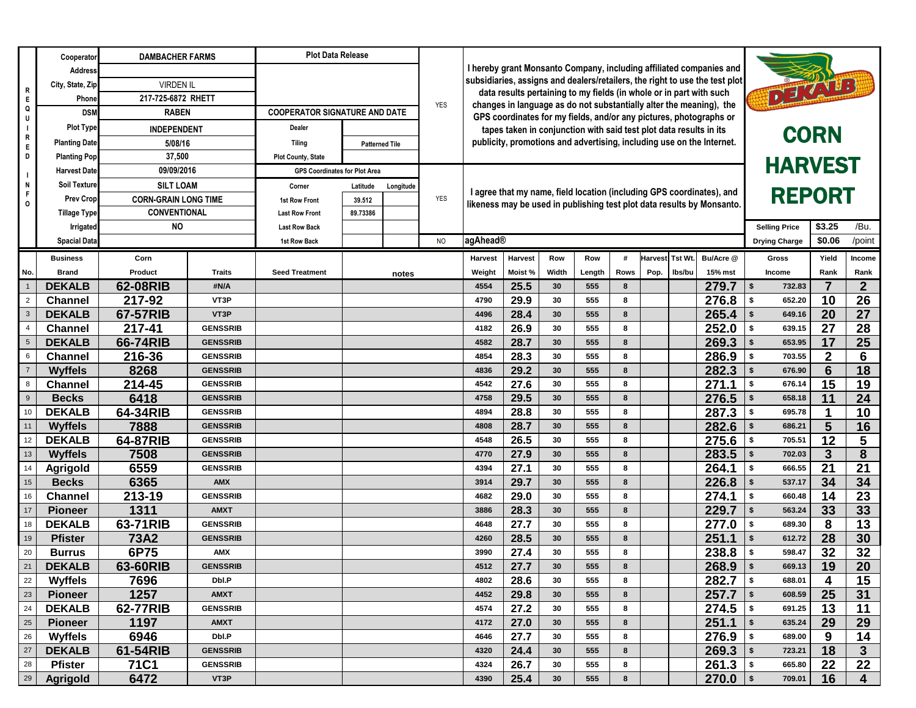|                         | Cooperator           | <b>DAMBACHER FARMS</b>      |                 | <b>Plot Data Release</b>             |                       |            |                                                                                                                                           |                                                                                                                                             |                                                                       |                 |                                                                        |             |                 |        |              |                         |               |                |                         |
|-------------------------|----------------------|-----------------------------|-----------------|--------------------------------------|-----------------------|------------|-------------------------------------------------------------------------------------------------------------------------------------------|---------------------------------------------------------------------------------------------------------------------------------------------|-----------------------------------------------------------------------|-----------------|------------------------------------------------------------------------|-------------|-----------------|--------|--------------|-------------------------|---------------|----------------|-------------------------|
| R<br>E.                 | <b>Address</b>       | <b>VIRDEN IL</b>            |                 |                                      |                       |            |                                                                                                                                           | I hereby grant Monsanto Company, including affiliated companies and                                                                         |                                                                       |                 |                                                                        |             |                 |        |              |                         |               |                |                         |
|                         | City, State, Zip     |                             |                 |                                      |                       |            |                                                                                                                                           | subsidiaries, assigns and dealers/retailers, the right to use the test plot                                                                 |                                                                       |                 |                                                                        |             |                 |        |              | DETAILS                 |               |                |                         |
|                         | Phone                | 217-725-6872 RHETT          |                 |                                      |                       |            |                                                                                                                                           | data results pertaining to my fields (in whole or in part with such                                                                         |                                                                       |                 |                                                                        |             |                 |        |              |                         |               |                |                         |
| Q                       | <b>DSM</b>           | <b>RABEN</b>                |                 | <b>COOPERATOR SIGNATURE AND DATE</b> |                       | <b>YES</b> | changes in language as do not substantially alter the meaning), the<br>GPS coordinates for my fields, and/or any pictures, photographs or |                                                                                                                                             |                                                                       |                 |                                                                        |             |                 |        |              |                         |               |                |                         |
|                         | <b>Plot Type</b>     | <b>INDEPENDENT</b>          |                 | Dealer                               |                       |            |                                                                                                                                           |                                                                                                                                             |                                                                       |                 | <b>CORN</b>                                                            |             |                 |        |              |                         |               |                |                         |
| R<br>E.                 | <b>Planting Date</b> | 5/08/16                     |                 | Tiling                               | <b>Patterned Tile</b> |            |                                                                                                                                           | tapes taken in conjunction with said test plot data results in its<br>publicity, promotions and advertising, including use on the Internet. |                                                                       |                 |                                                                        |             |                 |        |              |                         |               |                |                         |
| D                       | <b>Planting Pop</b>  | 37,500                      |                 | <b>Plot County, State</b>            |                       |            |                                                                                                                                           |                                                                                                                                             |                                                                       |                 |                                                                        |             |                 |        |              |                         |               |                |                         |
|                         | <b>Harvest Date</b>  | 09/09/2016                  |                 | <b>GPS Coordinates for Plot Area</b> |                       |            |                                                                                                                                           |                                                                                                                                             |                                                                       |                 |                                                                        |             | <b>HARVEST</b>  |        |              |                         |               |                |                         |
| N                       | <b>Soil Texture</b>  | <b>SILT LOAM</b>            |                 | Corner                               | Latitude              | Longitude  |                                                                                                                                           |                                                                                                                                             |                                                                       |                 |                                                                        |             |                 |        |              |                         |               |                |                         |
| $\Omega$                | <b>Prev Crop</b>     | <b>CORN-GRAIN LONG TIME</b> |                 | <b>1st Row Front</b>                 | 39.512                |            | <b>YES</b>                                                                                                                                |                                                                                                                                             | I agree that my name, field location (including GPS coordinates), and |                 |                                                                        |             | <b>REPORT</b>   |        |              |                         |               |                |                         |
|                         | <b>Tillage Type</b>  | <b>CONVENTIONAL</b>         |                 | <b>Last Row Front</b>                | 89.73386              |            |                                                                                                                                           |                                                                                                                                             |                                                                       |                 | likeness may be used in publishing test plot data results by Monsanto. |             |                 |        |              |                         |               |                |                         |
|                         | <b>Irrigated</b>     | <b>NO</b>                   |                 | <b>Last Row Back</b>                 |                       |            |                                                                                                                                           |                                                                                                                                             | agAhead®                                                              |                 |                                                                        |             |                 |        |              |                         |               | \$3.25         | /Bu.                    |
|                         | <b>Spacial Data</b>  |                             |                 | <b>1st Row Back</b>                  |                       |            | <b>NO</b>                                                                                                                                 |                                                                                                                                             |                                                                       |                 |                                                                        |             |                 |        |              |                         |               | \$0.06         | /point                  |
|                         | <b>Business</b>      | Corn                        |                 |                                      |                       |            |                                                                                                                                           | <b>Harvest</b>                                                                                                                              | <b>Harvest</b>                                                        | Row             | Row                                                                    | #           | Harvest Tst Wt. |        | Bu/Acre @    |                         | <b>Gross</b>  | Yield          | <b>Income</b>           |
| No.                     | <b>Brand</b>         | <b>Product</b>              | <b>Traits</b>   | <b>Seed Treatment</b>                |                       | notes      |                                                                                                                                           | Weight                                                                                                                                      | Moist%                                                                | Width           | Length                                                                 | <b>Rows</b> | Pop.            | lbs/bu | 15% mst      |                         | <b>Income</b> | Rank           | Rank                    |
|                         | <b>DEKALB</b>        | 62-08RIB                    | #N/A            |                                      |                       |            |                                                                                                                                           | 4554                                                                                                                                        | 25.5                                                                  | 30              | 555                                                                    | 8           |                 |        | 279.7        | $\sqrt[6]{3}$           | 732.83        | $\overline{7}$ | 2 <sup>2</sup>          |
| $\overline{2}$          | <b>Channel</b>       | 217-92                      | VT3P            |                                      |                       |            |                                                                                                                                           | 4790                                                                                                                                        | 29.9                                                                  | 30              | 555                                                                    | 8           |                 |        | 276.8        | \$                      | 652.20        | 10             | 26                      |
| $\overline{\mathbf{3}}$ | <b>DEKALB</b>        | 67-57RIB                    | VT3P            |                                      |                       |            |                                                                                                                                           | 4496                                                                                                                                        | 28.4                                                                  | 30              | 555                                                                    | 8           |                 |        | 265.4        | \$                      | 649.16        | 20             | 27                      |
| $\overline{4}$          | <b>Channel</b>       | 217-41                      | <b>GENSSRIB</b> |                                      |                       |            |                                                                                                                                           | 4182                                                                                                                                        | 26.9                                                                  | 30              | 555                                                                    | 8           |                 |        | 252.0        | \$                      | 639.15        | 27             | 28                      |
| 5                       | <b>DEKALB</b>        | 66-74RIB                    | <b>GENSSRIB</b> |                                      |                       |            |                                                                                                                                           | 4582                                                                                                                                        | 28.7                                                                  | 30              | 555                                                                    | 8           |                 |        | 269.3        | $\frac{1}{2}$           | 653.95        | 17             | 25                      |
| 6                       | <b>Channel</b>       | 216-36                      | <b>GENSSRIB</b> |                                      |                       |            |                                                                                                                                           | 4854                                                                                                                                        | 28.3                                                                  | 30              | 555                                                                    | 8           |                 |        | 286.9        | \$                      | 703.55        | 2 <sup>1</sup> | 6                       |
| $\overline{7}$          | <b>Wyffels</b>       | 8268                        | <b>GENSSRIB</b> |                                      |                       |            |                                                                                                                                           | 4836                                                                                                                                        | 29.2                                                                  | 30              | 555                                                                    | 8           |                 |        | 282.3        | \$                      | 676.90        | 6              | 18                      |
| 8                       | <b>Channel</b>       | 214-45                      | <b>GENSSRIB</b> |                                      |                       |            |                                                                                                                                           | 4542                                                                                                                                        | 27.6                                                                  | 30              | 555                                                                    | 8           |                 |        | 271.1        | \$                      | 676.14        | 15             | 19                      |
| 9                       | <b>Becks</b>         | 6418                        | <b>GENSSRIB</b> |                                      |                       |            |                                                                                                                                           | 4758                                                                                                                                        | 29.5                                                                  | 30              | 555                                                                    | 8           |                 |        | 276.5        | \$                      | 658.18        | 11             | 24                      |
| 10                      | <b>DEKALB</b>        | 64-34RIB                    | <b>GENSSRIB</b> |                                      |                       |            |                                                                                                                                           | 4894                                                                                                                                        | 28.8                                                                  | 30              | 555                                                                    | 8           |                 |        | 287.3        | \$                      | 695.78        | 1              | 10                      |
| 11                      | <b>Wyffels</b>       | 7888                        | <b>GENSSRIB</b> |                                      |                       |            |                                                                                                                                           | 4808                                                                                                                                        | 28.7                                                                  | 30              | 555                                                                    | 8           |                 |        | 282.6        | \$                      | 686.21        | 5              | 16                      |
| 12                      | <b>DEKALB</b>        | 64-87RIB                    | <b>GENSSRIB</b> |                                      |                       |            |                                                                                                                                           | 4548                                                                                                                                        | 26.5                                                                  | 30              | 555                                                                    | 8           |                 |        | 275.6        | \$                      | 705.51        | 12             | 5                       |
| 13                      | <b>Wyffels</b>       | 7508                        | <b>GENSSRIB</b> |                                      |                       |            |                                                                                                                                           | 4770                                                                                                                                        | 27.9                                                                  | 30              | 555                                                                    | 8           |                 |        | $283.5$   \$ |                         | 702.03        | 3 <sup>°</sup> | 8                       |
| 14                      | <b>Agrigold</b>      | 6559                        | <b>GENSSRIB</b> |                                      |                       |            |                                                                                                                                           | 4394                                                                                                                                        | 27.1                                                                  | 30              | 555                                                                    | 8           |                 |        | 264.1        | $\sqrt[6]{3}$           | 666.55        | 21             | 21                      |
| 15                      | <b>Becks</b>         | 6365                        | <b>AMX</b>      |                                      |                       |            |                                                                                                                                           | 3914                                                                                                                                        | 29.7                                                                  | 30              | 555                                                                    | 8           |                 |        | 226.8        | $\vert$ \$              | 537.17        | 34             | 34                      |
| 16                      | <b>Channel</b>       | 213-19                      | <b>GENSSRIB</b> |                                      |                       |            |                                                                                                                                           | 4682                                                                                                                                        | 29.0                                                                  | 30              | 555                                                                    | 8           |                 |        | 274.1        | $\sqrt{ }$              | 660.48        | 14             | 23                      |
| 17                      | <b>Pioneer</b>       | 1311                        | <b>AMXT</b>     |                                      |                       |            |                                                                                                                                           | 3886                                                                                                                                        | 28.3                                                                  | 30              | 555                                                                    | 8           |                 |        | 229.7        | $\sqrt[6]{\frac{1}{2}}$ | 563.24        | 33             | 33                      |
| 18                      | <b>DEKALB</b>        | 63-71RIB                    | <b>GENSSRIB</b> |                                      |                       |            |                                                                                                                                           | 4648                                                                                                                                        | 27.7                                                                  | 30              | 555                                                                    | 8           |                 |        | 277.0        | $\vert$ \$              | 689.30        | 8              | 13                      |
| 19                      | <b>Pfister</b>       | <b>73A2</b>                 | <b>GENSSRIB</b> |                                      |                       |            |                                                                                                                                           | 4260                                                                                                                                        | 28.5                                                                  | 30              | 555                                                                    | 8           |                 |        | 251.1        | $\sqrt[6]{\frac{1}{2}}$ | 612.72        | 28             | 30                      |
| 20                      | <b>Burrus</b>        | 6P75                        | <b>AMX</b>      |                                      |                       |            |                                                                                                                                           | 3990                                                                                                                                        | 27.4                                                                  | 30              | 555                                                                    | 8           |                 |        | 238.8        | $\vert$ \$              | 598.47        | 32             | 32                      |
| 21                      | <b>DEKALB</b>        | 63-60RIB                    | <b>GENSSRIB</b> |                                      |                       |            |                                                                                                                                           | 4512                                                                                                                                        | 27.7                                                                  | 30              | 555                                                                    | 8           |                 |        | 268.9        | $\vert$ \$              | 669.13        | 19             | 20                      |
| 22                      | <b>Wyffels</b>       | 7696                        | Dbl.P           |                                      |                       |            |                                                                                                                                           | 4802                                                                                                                                        | 28.6                                                                  | 30              | 555                                                                    | 8           |                 |        | 282.7        | $\vert$ \$              | 688.01        | 4              | 15                      |
| 23                      | <b>Pioneer</b>       | 1257                        | <b>AMXT</b>     |                                      |                       |            |                                                                                                                                           | 4452                                                                                                                                        | 29.8                                                                  | 30 <sup>°</sup> | 555                                                                    | 8           |                 |        | 257.7        | $\vert$ \$              | 608.59        | 25             | 31                      |
| 24                      | <b>DEKALB</b>        | 62-77RIB                    | <b>GENSSRIB</b> |                                      |                       |            |                                                                                                                                           | 4574                                                                                                                                        | 27.2                                                                  | 30              | 555                                                                    | 8           |                 |        | 274.5        | $\vert$ \$              | 691.25        | 13             | 11                      |
| 25                      | <b>Pioneer</b>       | 1197                        | <b>AMXT</b>     |                                      |                       |            |                                                                                                                                           | 4172                                                                                                                                        | 27.0                                                                  | 30              | 555                                                                    | 8           |                 |        | 251.1        | $\sqrt[6]{\frac{1}{2}}$ | 635.24        | 29             | 29                      |
| 26                      | <b>Wyffels</b>       | 6946                        | Dbl.P           |                                      |                       |            |                                                                                                                                           | 4646                                                                                                                                        | 27.7                                                                  | 30              | 555                                                                    | 8           |                 |        | 276.9        | $\sqrt{2}$              | 689.00        | 9              | 14                      |
| 27                      | <b>DEKALB</b>        | 61-54RIB                    | <b>GENSSRIB</b> |                                      |                       |            |                                                                                                                                           | 4320                                                                                                                                        | 24.4                                                                  | 30              | 555                                                                    | 8           |                 |        | 269.3        | $\vert$ \$              | 723.21        | 18             | 3                       |
| 28                      | <b>Pfister</b>       | <b>71C1</b>                 | <b>GENSSRIB</b> |                                      |                       |            |                                                                                                                                           | 4324                                                                                                                                        | 26.7                                                                  | 30              | 555                                                                    | 8           |                 |        | 261.3        | $\vert$ \$              | 665.80        | 22             | 22                      |
| 29                      | <b>Agrigold</b>      | 6472                        | VT3P            |                                      |                       |            |                                                                                                                                           | 4390                                                                                                                                        | 25.4                                                                  | 30              | 555                                                                    | 8           |                 |        | 270.0        | $\vert$ \$              | 709.01        | 16             | $\overline{\mathbf{4}}$ |